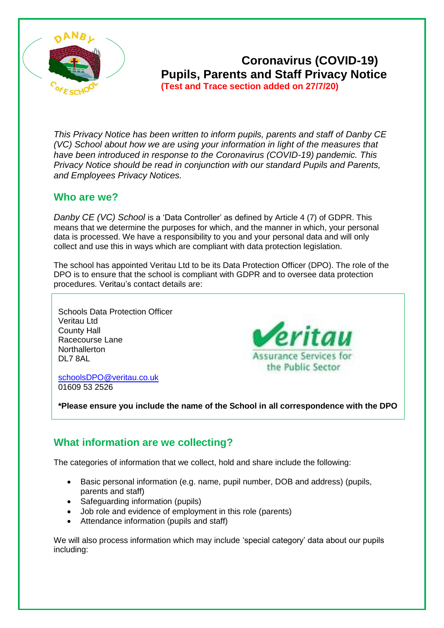

# **Coronavirus (COVID-19) Pupils, Parents and Staff Privacy Notice (Test and Trace section added on 27/7/20)**

*This Privacy Notice has been written to inform pupils, parents and staff of Danby CE (VC) School about how we are using your information in light of the measures that have been introduced in response to the Coronavirus (COVID-19) pandemic. This Privacy Notice should be read in conjunction with our standard Pupils and Parents, and Employees Privacy Notices.*

#### **Who are we?**

*Danby CE (VC) School* is a 'Data Controller' as defined by Article 4 (7) of GDPR. This means that we determine the purposes for which, and the manner in which, your personal data is processed. We have a responsibility to you and your personal data and will only collect and use this in ways which are compliant with data protection legislation.

The school has appointed Veritau Ltd to be its Data Protection Officer (DPO). The role of the DPO is to ensure that the school is compliant with GDPR and to oversee data protection procedures. Veritau's contact details are:

Schools Data Protection Officer Veritau Ltd County Hall Racecourse Lane **Northallerton** DL7 8AL

**Peritau Assurance Services for** the Public Sector

[schoolsDPO@veritau.co.uk](mailto:schoolsDPO@veritau.co.uk) 01609 53 2526

**\*Please ensure you include the name of the School in all correspondence with the DPO** 

## **What information are we collecting?**

The categories of information that we collect, hold and share include the following:

- Basic personal information (e.g. name, pupil number, DOB and address) (pupils, parents and staff)
- Safeguarding information (pupils)
- Job role and evidence of employment in this role (parents)
- Attendance information (pupils and staff)

We will also process information which may include 'special category' data about our pupils including: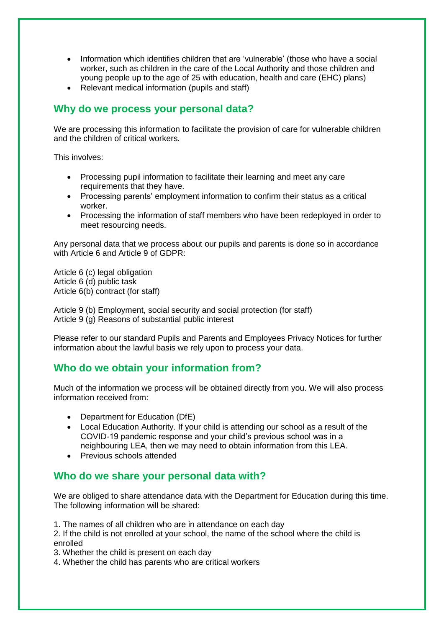- Information which identifies children that are 'vulnerable' (those who have a social worker, such as children in the care of the Local Authority and those children and young people up to the age of 25 with education, health and care (EHC) plans)
- Relevant medical information (pupils and staff)

## **Why do we process your personal data?**

We are processing this information to facilitate the provision of care for vulnerable children and the children of critical workers.

This involves:

- Processing pupil information to facilitate their learning and meet any care requirements that they have.
- Processing parents' employment information to confirm their status as a critical worker.
- Processing the information of staff members who have been redeployed in order to meet resourcing needs.

Any personal data that we process about our pupils and parents is done so in accordance with Article 6 and Article 9 of GDPR:

Article 6 (c) legal obligation Article 6 (d) public task Article 6(b) contract (for staff)

Article 9 (b) Employment, social security and social protection (for staff) Article 9 (g) Reasons of substantial public interest

Please refer to our standard Pupils and Parents and Employees Privacy Notices for further information about the lawful basis we rely upon to process your data.

## **Who do we obtain your information from?**

Much of the information we process will be obtained directly from you. We will also process information received from:

- Department for Education (DfE)
- Local Education Authority. If your child is attending our school as a result of the COVID-19 pandemic response and your child's previous school was in a neighbouring LEA, then we may need to obtain information from this LEA.
- Previous schools attended

## **Who do we share your personal data with?**

We are obliged to share attendance data with the Department for Education during this time. The following information will be shared:

1. The names of all children who are in attendance on each day

2. If the child is not enrolled at your school, the name of the school where the child is enrolled

3. Whether the child is present on each day

4. Whether the child has parents who are critical workers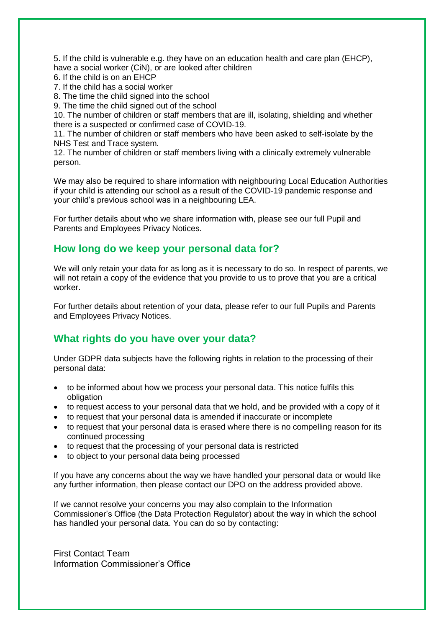5. If the child is vulnerable e.g. they have on an education health and care plan (EHCP), have a social worker (CiN), or are looked after children

- 6. If the child is on an EHCP
- 7. If the child has a social worker

8. The time the child signed into the school

9. The time the child signed out of the school

10. The number of children or staff members that are ill, isolating, shielding and whether there is a suspected or confirmed case of COVID-19.

11. The number of children or staff members who have been asked to self-isolate by the NHS Test and Trace system.

12. The number of children or staff members living with a clinically extremely vulnerable person.

We may also be required to share information with neighbouring Local Education Authorities if your child is attending our school as a result of the COVID-19 pandemic response and your child's previous school was in a neighbouring LEA.

For further details about who we share information with, please see our full Pupil and Parents and Employees Privacy Notices.

#### **How long do we keep your personal data for?**

We will only retain your data for as long as it is necessary to do so. In respect of parents, we will not retain a copy of the evidence that you provide to us to prove that you are a critical worker.

For further details about retention of your data, please refer to our full Pupils and Parents and Employees Privacy Notices.

## **What rights do you have over your data?**

Under GDPR data subjects have the following rights in relation to the processing of their personal data:

- to be informed about how we process your personal data. This notice fulfils this obligation
- to request access to your personal data that we hold, and be provided with a copy of it
- to request that your personal data is amended if inaccurate or incomplete
- to request that your personal data is erased where there is no compelling reason for its continued processing
- to request that the processing of your personal data is restricted
- to object to your personal data being processed

If you have any concerns about the way we have handled your personal data or would like any further information, then please contact our DPO on the address provided above.

If we cannot resolve your concerns you may also complain to the Information Commissioner's Office (the Data Protection Regulator) about the way in which the school has handled your personal data. You can do so by contacting:

First Contact Team Information Commissioner's Office